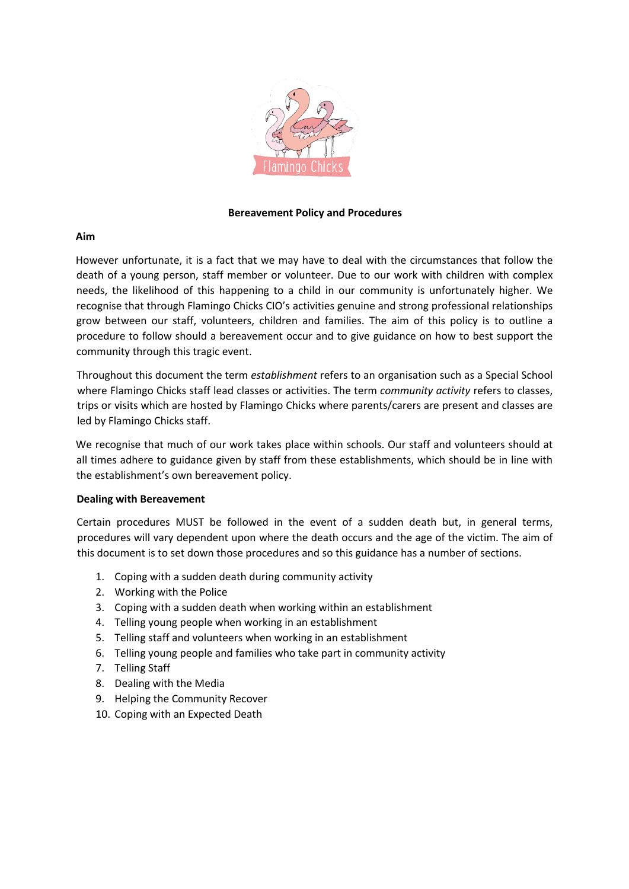

## **Bereavement Policy and Procedures**

### **Aim**

However unfortunate, it is a fact that we may have to deal with the circumstances that follow the death of a young person, staff member or volunteer. Due to our work with children with complex needs, the likelihood of this happening to a child in our community is unfortunately higher. We recognise that through Flamingo Chicks CIO's activities genuine and strong professional relationships grow between our staff, volunteers, children and families. The aim of this policy is to outline a procedure to follow should a bereavement occur and to give guidance on how to best support the community through this tragic event.

Throughout this document the term *establishment* refers to an organisation such as a Special School where Flamingo Chicks staff lead classes or activities. The term *community activity* refers to classes, trips or visits which are hosted by Flamingo Chicks where parents/carers are present and classes are led by Flamingo Chicks staff.

We recognise that much of our work takes place within schools. Our staff and volunteers should at all times adhere to guidance given by staff from these establishments, which should be in line with the establishment's own bereavement policy.

### **Dealing with Bereavement**

Certain procedures MUST be followed in the event of a sudden death but, in general terms, procedures will vary dependent upon where the death occurs and the age of the victim. The aim of this document is to set down those procedures and so this guidance has a number of sections.

- 1. Coping with a sudden death during community activity
- 2. Working with the Police
- 3. Coping with a sudden death when working within an establishment
- 4. Telling young people when working in an establishment
- 5. Telling staff and volunteers when working in an establishment
- 6. Telling young people and families who take part in community activity
- 7. Telling Staff
- 8. Dealing with the Media
- 9. Helping the Community Recover
- 10. Coping with an Expected Death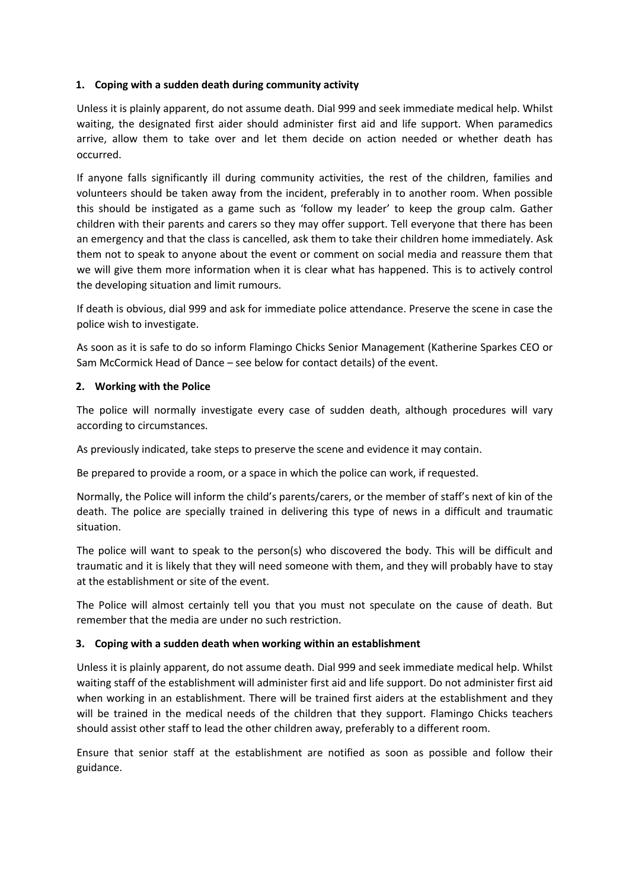# **1. Coping with a sudden death during community activity**

Unless it is plainly apparent, do not assume death. Dial 999 and seek immediate medical help. Whilst waiting, the designated first aider should administer first aid and life support. When paramedics arrive, allow them to take over and let them decide on action needed or whether death has occurred.

If anyone falls significantly ill during community activities, the rest of the children, families and volunteers should be taken away from the incident, preferably in to another room. When possible this should be instigated as a game such as 'follow my leader' to keep the group calm. Gather children with their parents and carers so they may offer support. Tell everyone that there has been an emergency and that the class is cancelled, ask them to take their children home immediately. Ask them not to speak to anyone about the event or comment on social media and reassure them that we will give them more information when it is clear what has happened. This is to actively control the developing situation and limit rumours.

If death is obvious, dial 999 and ask for immediate police attendance. Preserve the scene in case the police wish to investigate.

As soon as it is safe to do so inform Flamingo Chicks Senior Management (Katherine Sparkes CEO or Sam McCormick Head of Dance – see below for contact details) of the event.

### **2. Working with the Police**

The police will normally investigate every case of sudden death, although procedures will vary according to circumstances.

As previously indicated, take steps to preserve the scene and evidence it may contain.

Be prepared to provide a room, or a space in which the police can work, if requested.

Normally, the Police will inform the child's parents/carers, or the member of staff's next of kin of the death. The police are specially trained in delivering this type of news in a difficult and traumatic situation.

The police will want to speak to the person(s) who discovered the body. This will be difficult and traumatic and it is likely that they will need someone with them, and they will probably have to stay at the establishment or site of the event.

The Police will almost certainly tell you that you must not speculate on the cause of death. But remember that the media are under no such restriction.

### **3. Coping with a sudden death when working within an establishment**

Unless it is plainly apparent, do not assume death. Dial 999 and seek immediate medical help. Whilst waiting staff of the establishment will administer first aid and life support. Do not administer first aid when working in an establishment. There will be trained first aiders at the establishment and they will be trained in the medical needs of the children that they support. Flamingo Chicks teachers should assist other staff to lead the other children away, preferably to a different room.

Ensure that senior staff at the establishment are notified as soon as possible and follow their guidance.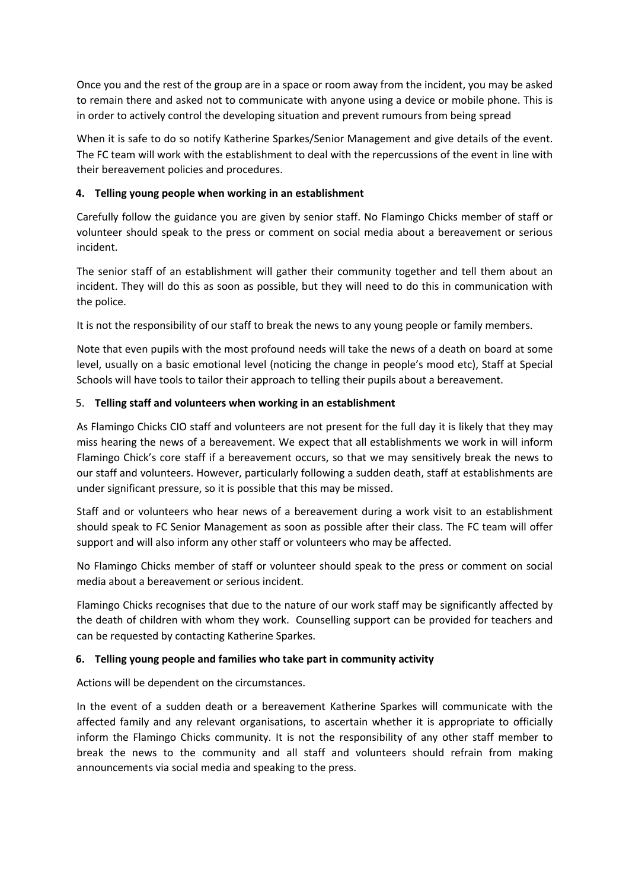Once you and the rest of the group are in a space or room away from the incident, you may be asked to remain there and asked not to communicate with anyone using a device or mobile phone. This is in order to actively control the developing situation and prevent rumours from being spread

When it is safe to do so notify Katherine Sparkes/Senior Management and give details of the event. The FC team will work with the establishment to deal with the repercussions of the event in line with their bereavement policies and procedures.

## **4. Telling young people when working in an establishment**

Carefully follow the guidance you are given by senior staff. No Flamingo Chicks member of staff or volunteer should speak to the press or comment on social media about a bereavement or serious incident.

The senior staff of an establishment will gather their community together and tell them about an incident. They will do this as soon as possible, but they will need to do this in communication with the police.

It is not the responsibility of our staff to break the news to any young people or family members.

Note that even pupils with the most profound needs will take the news of a death on board at some level, usually on a basic emotional level (noticing the change in people's mood etc), Staff at Special Schools will have tools to tailor their approach to telling their pupils about a bereavement.

## 5. **Telling staff and volunteers when working in an establishment**

As Flamingo Chicks CIO staff and volunteers are not present for the full day it is likely that they may miss hearing the news of a bereavement. We expect that all establishments we work in will inform Flamingo Chick's core staff if a bereavement occurs, so that we may sensitively break the news to our staff and volunteers. However, particularly following a sudden death, staff at establishments are under significant pressure, so it is possible that this may be missed.

Staff and or volunteers who hear news of a bereavement during a work visit to an establishment should speak to FC Senior Management as soon as possible after their class. The FC team will offer support and will also inform any other staff or volunteers who may be affected.

No Flamingo Chicks member of staff or volunteer should speak to the press or comment on social media about a bereavement or serious incident.

Flamingo Chicks recognises that due to the nature of our work staff may be significantly affected by the death of children with whom they work. Counselling support can be provided for teachers and can be requested by contacting Katherine Sparkes.

### **6. Telling young people and families who take part in community activity**

Actions will be dependent on the circumstances.

In the event of a sudden death or a bereavement Katherine Sparkes will communicate with the affected family and any relevant organisations, to ascertain whether it is appropriate to officially inform the Flamingo Chicks community. It is not the responsibility of any other staff member to break the news to the community and all staff and volunteers should refrain from making announcements via social media and speaking to the press.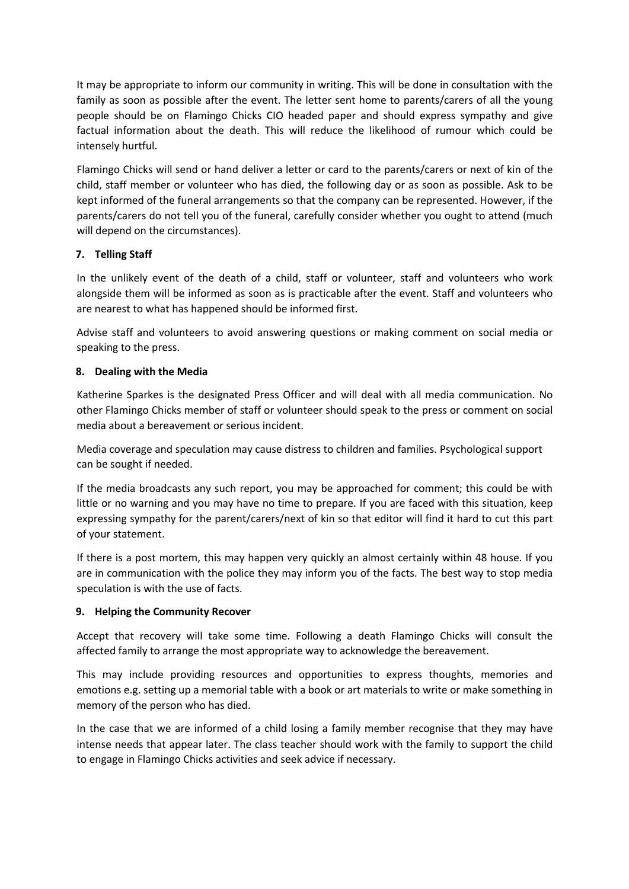It may be appropriate to inform our community in writing. This will be done in consultation with the family as soon as possible after the event. The letter sent home to parents/carers of all the young people should be on Flamingo Chicks CIO headed paper and should express sympathy and give factual information about the death. This will reduce the likelihood of rumour which could be intensely hurtful.

Flamingo Chicks will send or hand deliver a letter or card to the parents/carers or next of kin of the child, staff member or volunteer who has died, the following day or as soon as possible. Ask to be kept informed of the funeral arrangements so that the company can be represented. However, if the parents/carers do not tell you of the funeral, carefully consider whether you ought to attend (much will depend on the circumstances).

# **7. Telling Staff**

In the unlikely event of the death of a child, staff or volunteer, staff and volunteers who work alongside them will be informed as soon as is practicable after the event. Staff and volunteers who are nearest to what has happened should be informed first.

Advise staff and volunteers to avoid answering questions or making comment on social media or speaking to the press.

## **8. Dealing with the Media**

Katherine Sparkes is the designated Press Officer and will deal with all media communication. No other Flamingo Chicks member of staff or volunteer should speak to the press or comment on social media about a bereavement or serious incident.

Media coverage and speculation may cause distress to children and families. Psychological support can be sought if needed.

If the media broadcasts any such report, you may be approached for comment; this could be with little or no warning and you may have no time to prepare. If you are faced with this situation, keep expressing sympathy for the parent/carers/next of kin so that editor will find it hard to cut this part of your statement.

If there is a post mortem, this may happen very quickly an almost certainly within 48 house. If you are in communication with the police they may inform you of the facts. The best way to stop media speculation is with the use of facts.

### **9. Helping the Community Recover**

Accept that recovery will take some time. Following a death Flamingo Chicks will consult the affected family to arrange the most appropriate way to acknowledge the bereavement.

This may include providing resources and opportunities to express thoughts, memories and emotions e.g. setting up a memorial table with a book or art materials to write or make something in memory of the person who has died.

In the case that we are informed of a child losing a family member recognise that they may have intense needs that appear later. The class teacher should work with the family to support the child to engage in Flamingo Chicks activities and seek advice if necessary.